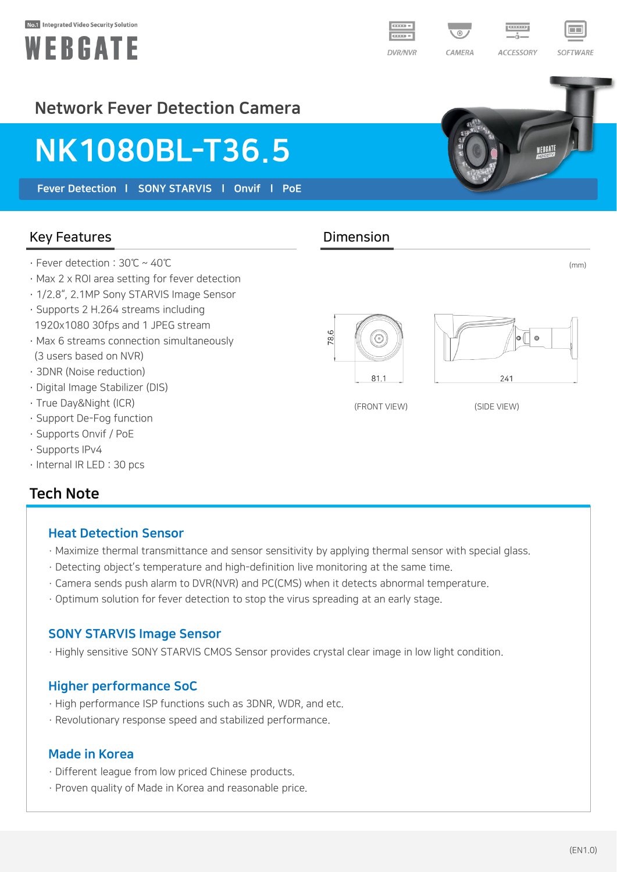#### Not Integrated Video Security Solution





(mm)

**ACCESSORY** 

SOFTWARE

## Network Fever Detection Camera

# NK1080BL-T36.5

Fever Detection | SONY STARVIS | Onvif | PoE

#### Key Features **Dimension**

- · Fever detection : 30℃ ~ 40℃
- · Max 2 x ROI area setting for fever detection
- · 1/2.8", 2.1MP Sony STARVIS Image Sensor
- · Supports 2 H.264 streams including 1920x1080 30fps and 1 JPEG stream
- · Max 6 streams connection simultaneously (3 users based on NVR)
- · 3DNR (Noise reduction)
- · Digital Image Stabilizer (DIS)
- · True Day&Night (ICR)
- · Support De-Fog function
- · Supports Onvif / PoE
- · Supports IPv4
- · Internal IR LED : 30 pcs

### Tech Note

#### Heat Detection Sensor

- · Maximize thermal transmittance and sensor sensitivity by applying thermal sensor with special glass.
- · Detecting object's temperature and high-definition live monitoring at the same time.
- · Camera sends push alarm to DVR(NVR) and PC(CMS) when it detects abnormal temperature.
- · Optimum solution for fever detection to stop the virus spreading at an early stage.

#### SONY STARVIS Image Sensor

· Highly sensitive SONY STARVIS CMOS Sensor provides crystal clear image in low light condition.

#### Higher performance SoC

- · High performance ISP functions such as 3DNR, WDR, and etc.
- · Revolutionary response speed and stabilized performance.

#### Made in Korea

- · Different league from low priced Chinese products.
- · Proven quality of Made in Korea and reasonable price.



78.6





(FRONT VIEW) (SIDE VIEW)